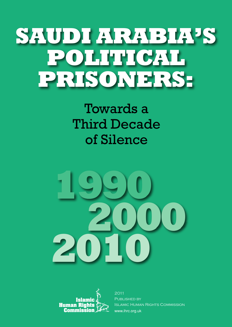# **SAUDI ARABIA'S POLITICAL PRISONERS:**

## Towards a Third Decade of Silence





2011 PUBLISHED BY Islamic Human Rights Commission www.ihrc.org.uk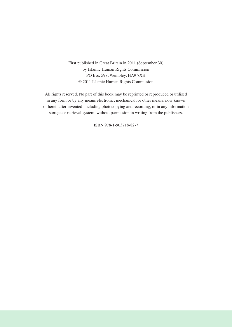First published in Great Britain in 2011 (September 30) by Islamic Human Rights Commission PO Box 598, Wembley, HA9 7XH © 2011 Islamic Human Rights Commission

All rights reserved. No part of this book may be reprinted or reproduced or utilised in any form or by any means electronic, mechanical, or other means, now known or hereinafter invented, including photocopying and recording, or in any information storage or retrieval system, without permission in writing from the publishers.

ISBN 978-1-903718-82-7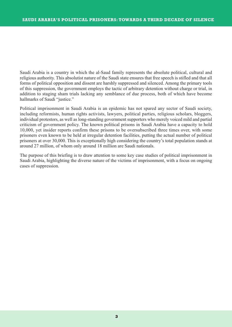Saudi Arabia is a country in which the al-Saud family represents the absolute political, cultural and religious authority. This absolutist nature of the Saudi state ensures that free speech is stifled and that all forms of political opposition and dissent are harshly suppressed and silenced. Among the primary tools of this suppression, the government employs the tactic of arbitrary detention without charge or trial, in addition to staging sham trials lacking any semblance of due process, both of which have become hallmarks of Saudi "justice."

Political imprisonment in Saudi Arabia is an epidemic has not spared any sector of Saudi society, including reformists, human rights activists, lawyers, political parties, religious scholars, bloggers, individual protestors, as well as long-standing government supporters who merely voiced mild and partial criticism of government policy. The known political prisons in Saudi Arabia have a capacity to hold 10,000, yet insider reports confirm these prisons to be oversubscribed three times over, with some prisoners even known to be held at irregular detention facilities, putting the actual number of political prisoners at over 30,000. This is exceptionally high considering the country's total population stands at around 27 million, of whom only around 18 million are Saudi nationals.

The purpose of this briefing is to draw attention to some key case studies of political imprisonment in Saudi Arabia, highlighting the diverse nature of the victims of imprisonment, with a focus on ongoing cases of suppression.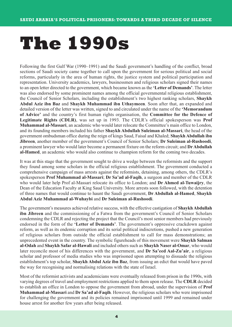# **The 1990s**

Following the first Gulf War (1990–1991) and the Saudi government's handling of the conflict, broad sections of Saudi society came together to call upon the government for serious political and social reforms, particularly in the area of human rights, the justice system and political participation and representation. University academics, lawyers, businessmen and religious scholars signed their names to an open letter directed to the government, which became known as the **'Letter of Demands'**. The letter was also endorsed by some prominent names among the official governmental religious establishment, the Council of Senior Scholars, including the establishment's two highest ranking scholars, **Shaykh Abdul Aziz ibn Baz** and **Shaykh Muhammad ibn Uthaymeen**. Soon after that, an expanded and detailed version of the letter was written, signed to and circulated under the name of the **'Memorandum of Advice'** and the country's first human rights organisation, the **Committee for the Defence of Legitimate Rights (CDLR)**, was set up in 1993. The CDLR's official spokesperson was **Prof Muhammad al-Massari**, an academic who would later relocate the Committee's main office to London, and its founding members included his father **Shaykh Abdullah Suleiman al-Massari**, the head of the government ombudsman office during the reign of kings Saud, Faisal and Khaled; **Shaykh Abdullah ibn Jibreen**, another member of the government's Council of Senior Scholars; **Dr Suleiman al-Rushoodi**, a prominent lawyer who would later become a permanent fixture on the reform circuit; and **DrAbdullah al-Hamed**, an academic who would also continue to champion reform for the coming two decades.

It was at this stage that the government sought to drive a wedge between the reformists and the support they found among some scholars in the official religious establishment. The government conducted a comprehensive campaign of mass arrests against the reformists, detaining, among others, the CDLR's spokesperson **Prof Muhammad al-Massari**; **Dr Sa'ad al-Faqih**, a surgeon and member of the CDLR who would later help Prof al-Massari relocate its office to London; and **Dr Ahmed al-Tuwaijry**, the Dean of the Education Faculty at King Saud University. More arrests soon followed, with the detention of three names that would continue to haunt the Saudi government, **Dr Abdullah al-Hamed**, **Shaykh Abdul Aziz Muhammad al-Wuhaybi** and **Dr Suleiman al-Rushoodi**.

The government's measures achieved relative success, with the effective castigation of **Shaykh Abdullah ibn Jibreen** and the commissioning of a Fatwa from the government's Council of Senior Scholars condemning the CDLR and rejecting the project that the Council's most senior members had previously endorsed in the form of the **'Letter of Demands'**. The government's oppressive crackdown against reform, as well as its endemic corruption and its serial political indiscretions, pushed a new generation of religious scholars from outside the official establishment to call for mass demonstrations; an unprecedented event in the country. The symbolic figureheads of this movement were **Shaykh Salman al-Odah** and **Shaykh Safar al-Hawali** and included others such as **Shaykh Naser al-Omar**, who would later reconcile most of his differences with the government, and **Dr Sa'eed Aal-Zu'air**, a religious scholar and professor of media studies who was imprisoned upon attempting to dissuade the religious establishment's top scholar, **Shaykh Abdul Aziz ibn Baz**, from issuing an edict that would have paved the way for recognising and normalising relations with the state of Israel.

Most of the reformist activists and academicians were eventually released from prison in the 1990s, with varying degrees of travel and employment restrictions applied to them upon release. The **CDLR** decided to establish an office in London to oppose the government from abroad, under the supervision of **Prof Muhammad al-Massari** and **Dr Sa'ad al-Faqih**. However, the religious scholars who were imprisoned for challenging the government and its policies remained imprisoned until 1999 and remained under house arrest for another few years after being released.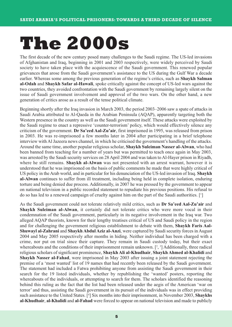# **The 2000s**

The first decade of the new century posed many challenges to the Saudi regime. The US-led invasions of Afghanistan and Iraq, beginning in 2001 and 2003 respectively, were widely perceived by Saudi society to have taken place with the acquiescence of the Saudi government. This renewed popular grievances that arose from the Saudi government's assistance to the US during the Gulf War a decade earlier. Whereas some among the previous generation of the regime's critics, such as **Shaykh Salman al-Odah** and **Shaykh Safar al-Hawali**, spoke critically against the concept of US-led wars against the two countries, they avoided confrontation with the Saudi government by remaining largely silent on the issue of Saudi government involvement and approval of the two wars. On the other hand, a new generation of critics arose as a result of the tense political climate.

Beginning shortly after the Iraq invasion in March 2003, the period 2003–2006 saw a spate of attacks in Saudi Arabia attributed to Al-Qaeda in the Arabian Peninsula (AQAP), apparently targeting both the Western presence in the country as well as the Saudi government itself. These attacks were exploited by the Saudi regime to enact a repressive 'counter-terrorism' policy, which would effectively silence any criticism of the government. **Dr Sa'eed Aal-Zu'air**, first imprisoned in 1995, was released from prison in 2003. He was re-imprisoned a few months later in 2004 after participating in a brief telephone interview with Al Jazeera news channel, in which he criticised the government's handling of the attacks. Around the same time, another popular religious scholar, **Shaykh Suleiman Nasser al-Alwan**, who had been banned from teaching for a number of years but was permitted to teach once again in May 2003, was arrested by the Saudi security services on 28 April 2004 and was taken to Al-Hayer prison in Riyadh, where he still remains. **Shaykh al-Alwan** was not presented with an arrest warrant, however it is understood that he was imprisoned on the basis of public comments he made that were highly critical of US policy in the Arab world, and in particular for his denunciation of the US-led invasion of Iraq. **Shaykh al-Alwan** continues to suffer from ill treatment, including being held in complete isolation, enduring torture and being denied due process. Additionally, in 2007 he was pressed by the government to appear on national television in a public recorded statement to repudiate his previous positions. His refusal to do so has led to a renewed campaign of cruelty against him on the part of the Saudi authorities. [1 ]

As the Saudi government could not tolerate relatively mild critics, such as **Dr Sa'eed Aal-Zu'air** and **Shaykh Suleiman al-Alwan**, it certainly did not tolerate critics who were more vocal in their condemnation of the Saudi government, particularly in its negative involvement in the Iraq war. Two alleged AQAP theorists, known for their lengthy treatises critical of US and Saudi policy in the region and for challenging the government religious establishment to debate with them, **Shaykh Faris Aal-Shuwayl al-Zahrani** and **Shaykh Abdul Aziz al-Anzi**, were captured by Saudi security forces in August 2004 and May 2005 respectively after months in hiding. Neither individual has been charged with a crime, nor put on trial since their capture. They remain in Saudi custody today, but their exact whereabouts and the conditions of their imprisonment remain unknown.  $[2, 3]$  Additionally, three radical religious scholars of significant prominence, **Shaykh Ali al-Khudhair**, **Shaykh Ahmed al-Khalidi** and **Shaykh Nasser al-Fahad**, were imprisoned in May 2003 after issuing a joint statement rejecting the premise of a 'most wanted' list of 19 names that had recently been released by the Saudi government. The statement had included a Fatwa prohibiting anyone from assisting the Saudi government in their search for the 19 listed individuals, whether by republishing the 'wanted' posters, reporting the whereabouts of the individuals, or attempting to search for them. The scholars identified the reasoning behind this ruling as the fact that the list had been released under the aegis of the American 'war on terror' and thus, assisting the Saudi government in its pursuit of the individuals was in effect providing such assistance to the United States. [4 ] Six months into their imprisonment, in November 2003, **Shaykhs al-Khudhair**, **al-Khalidi** and **al-Fahad** were forced to appear on national television and made to publicly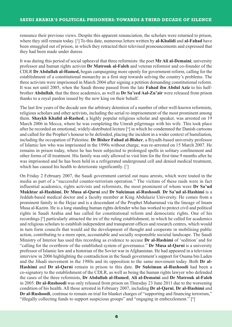renounce their previous views. Despite this apparent renunciation, the scholars were returned to prison, where they still remain today. [5 ] To this date, numerous letters written by **al-Khalidi** and **al-Fahad** have been smuggled out of prison, in which they retracted their televised pronouncements and expressed that they had been made under duress.

It was during this period of social upheaval that three reformists: the poet **MrAli al-Demaini**; university professor and human rights activist **Dr Matrouk al-Faleh** and veteran reformist and co-founder of the CDLR **DrAbdullah al-Hamed,** began campaigning more openly for government reform, calling for the establishment of a constitutional monarchy as a first step towards solving the country's problems. The three activists were imprisoned in March 2004 after signing a petition demanding constitutional reform. It was not until 2005, when the Saudi throne passed from the late **Fahad ibn Abdul Aziz** to his halfbrother **Abdullah**, that the three academics, as well as **Dr Sa'eed Aal-Zu'air** were released from prison thanks to a royal pardon issued by the new king on their behalf.

The last few years of the decade saw the arbitrary detention of a number of other well-known reformists, religious scholars and other activists, including the serial re-imprisonment of the most prominent among them. **Shaykh Khalid al-Rashed**, a highly popular religious scholar and speaker, was arrested on 19 March 2006 in Mecca, where he was completing the Umrah pilgrimage with his wife. This took place after he recorded an emotional, widely-distributed lecture [6 ] in which he condemned the Danish cartoons and called for the Prophet's honour to be defended, placing the incident in a wider context of humiliation, including the occupation of Palestine. **Dr Bisher Fahad al-Bisher**, a Riyadh-based university professor of Islamic law who was imprisoned in the 1990s without charge, was re-arrested on 15 March 2007. He remains in prison today, where he has been subjected to prolonged spells in solitary confinement and other forms of ill treatment. His family was only allowed to visit him for the first time 9 months after he was imprisoned and he has been held in a refrigerated underground cell and denied medical treatment, which has caused his health to deteriorate significantly. [7 ]

On Friday 2 February 2007, the Saudi government carried out mass arrests, which were touted in the media as part of a "successful counter-terrorism operation." The victims of these raids were in fact influential academics, rights activists and reformists, the most prominent of whom were **Dr Sa'ud Mukhtar al-Hashimi**, **Dr Musa al-Qarni** and **Dr Suleiman al-Rushoodi**. **Dr Sa'ud al-Hashimi** is a Jeddah-based medical doctor and a faculty member at King Abdulaziz University. He comes from a prominent family in the Hejaz and is a descendant of the Prophet Muhammad via the lineage of Imam Musa al-Kazim. He is a long standing human rights defender who has worked to protect civil and political rights in Saudi Arabia and has called for constitutional reform and democratic rights. One of his recordings [8 ] particularly attracted the ire of the ruling establishment, in which he called for academics and religious scholars to establish independent and transparent offices and research centres, which would in turn form councils that would aid the development of thought and cooperate in mobilising public action, contributing to a more open, accountable and socially responsible societal landscape. The Saudi Ministry of Interior has used this recording as evidence to accuse **Dr al-Hashimi** of 'sedition' and for "calling for the overthrow of the established system of governance." **Dr Musa al-Qarni** is a university professor of Islamic law and a historian of the Soviet war in Afghanistan. He had appeared in a television interview in 2006 highlighting the contradiction in the Saudi government's support for Osama bin Laden and the Jihadi movement in the 1980s and its opposition to the same movement today. Both **Dr al-Hashimi** and **Dr al-Qarni** remain in prison to this date. **Dr Suleiman al-Rushoodi** had been a co-signatory to the establishment of the CDLR, as well as being the human rights lawyer who defended the cases of the three reformists, **Dr Abdullah al-Hamed**, **Ali al-Demaini** and **Dr Matrouk al-Faleh** in 2005. **Dr al-Rushoodi** was only released from prison on Thursday 23 June 2011 due to the worsening condition of his health. All those arrested in February 2007, including **Dr al-Qarni**, **Dr al-Hashimi** and **Dr al-Rushoodi**, continue to remain on trial for blanket charges of "supporting and financing terrorism," "illegally collecting funds to support suspicious groups" and "engaging in embezzlement." [<sup>9</sup>]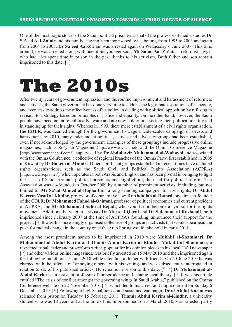One of the most tragic stories of the Saudi political prisoners is that of the professor of media studies **Dr Sa'eed Aal-Zu'air** and his family. Having been imprisoned twice before, from 1995 to 2003 and again from 2004 to 2005, **Dr Sa'eed Aal-Zu'air** was arrested again on Wednesday 6 June 2007. This time around, he was arrested along with one of his younger sons, **Mr Sa'ad Aal-Zu'air**, a reformist lawyer who had also spent time in prison in the past thanks to his activism. Both father and son remain imprisoned to this date. [<sup>10</sup>]

## **The 2010s**

After twenty years of government repression and the routine imprisonment and harassment of reformers and activists, the Saudi government has done very little to address the legitimate aspirations of its people, and even less to address the effectiveness of its policy in dealing with political opposition by refusing to revise it to a strategy based on principles of justice and equality. On the other hand, however, the Saudi people have become more politically aware and are now bolder in asserting their political identity and in standing up for their rights. Whereas in 1993, there mere establishment of a civil rights organisation, **the CDLR**, was deemed enough for the government to wage a wide-scaled campaign of arrests and harassment, by 2010, many independent political, activist and advocacy groups had been established, even if not acknowledged by the government. Examples of these groupings include progressive online magazines, such as Ro'yaah Magazine [http://www.royaah.net/] and the Omma Conference Magazine [http://www.ommahconf.com/], supervised by **Dr Abdul Aziz Muhammad al-Wuhaybi** and associated with the Omma Conference, a collective of regional branches of the Omma Party, first established in 2005 in Kuwait by **Dr Hakem al-Mutairi**. Other significant groups established in recent times have included rights organisations, such as the Saudi Civil and Political Rights Association (ACPRA) [http://www.acpra.net/], which operates in both Arabic and English and has been pivotal in bringing to light the cases of Saudi Arabia's political prisoners and highlighting the need for political reform. The Association was co-founded in October 2009 by a number of prominent activists, including, but not limited to, **Mr Sa'ud Ahmed al-Dughaithir**, a long-standing campaigner for civil rights; **Dr Abdul Kareem Yusuf al-Khidhr**, professor of comparative law; **DrAbdullah al-Hamed**, one time co-founder of the CDLR; **Dr Mohammed Fahad al-Qahtani**, professor of political economics and current president of ACPRA; and **Mr Mohammed Salih al-Bejadi**, who would soon become a symbol for the rights movement. Additionally, veteran activists **Dr Musa al-Qarni** and **Dr Suleiman al-Rushoodi**, both imprisoned since February 2007 at the time of ACPRA's founding, announced their support for the project. [11] It was this increasingly organised collective of groups and activists that would spearhead the push for radical change in the country once the Arab Spring would take hold in early 2011.

Among the most prominent names to be imprisoned in 2010 were **Mukhlif al-Shammari**, **Dr Muhammad al-Abdul Karim** and **Thamir Abdul Karim al-Khidhr**. **Mukhlif al-Shammari**, a respected tribal leader and pro-reform writer, popular for his opinion pieces in his local Ha'il newspaper [<sup>12</sup>] and other various online magazines, was briefly arrested on 15 May 2010 and then imprisoned again the following month on 15 June 2010 while attending a dinner with friends. On 20 June 2010 he was charged with the offence of "annoying others" with his writings and was subsequently interrogated in relation to six of his published articles. He remains in prison to this date. [<sup>13</sup>, <sup>14</sup>] Dr Muhammad al-Abdul Karim is an assistant professor of jurisprudence and Islamic legal theory. [<sup>15</sup>] It was his article entitled "The crisis of conflict amongst the governing wings in Saudi Arabia," published on the Omma Conference website on 22 November 2010 [<sup>16</sup>], which led to his arrest and imprisonment on Sunday 6 December 2010. [17 ] Following a highly publicised and sustained campaign, **Dr al-Abdul Karim** was released from prison on Tuesday 15 February 2011. **Thamir Abdul Karim al-Khidhr**, a university student who was 18 years old at the time of his imprisonment on 3 March 2010, was arrested partly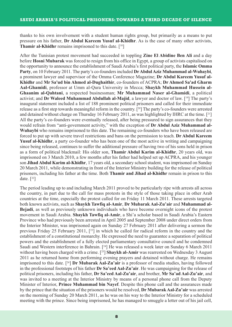thanks to his own involvement with a student human rights group, but primarily as a means to put pressure on his father, **Dr Abdul Kareem Yusuf al-Khidhr**. As is the case of many other activists, **Thamir al-Khidhr** remains imprisoned to this date. [<sup>18</sup>]

After the Tunisian protest movement had succeeded in toppling **Zine El Abidine Ben Ali** and a day before **Hosni Mubarak** was forced to resign from his office in Egypt, a group of activists capitalised on the opportunity to announce the establishment of Saudi Arabia's first political party, the **Islamic Omma Party**, on 10 February 2011. The party's co-founders included **DrAbdul Aziz Muhammad al-Wuhaybi**, a prominent lawyer and supervisor of the Omma Conference Magazine; **Dr Abdul Kareem Yusuf al-Khidhr** and **Mr Sa'ud bin Ahmed al-Dughaithir**, co-founders of ACPRA; **Dr Ahmed Sa'ad Gharm Aal-Ghamidi**, professor at Umm al-Qura University in Mecca; **Shaykh Muhammad Hussein al-Ghaanim al-Qahtani**, a respected businessman; **Mr Muhammad Naser al-Ghamidi**, a political activist; and **Dr Waleed Muhammad Abdullah al-Majid**, a lawyer and doctor of law. [19 ] The party's inaugural statement included a list of 188 prominent political prisoners and called for their immediate release as a first step towards meaningful reform in the country. [20 ] The party's co-founders were arrested and detained without charge on Thursday 16 February 2011, as was highlighted by IHRC at the time. [21 ] All the party's co-founders were eventually released, after being pressured to sign assurances that they would refrain from "anti-government activity," with the exception of **Dr Abdul Aziz Muhammad al-Wuhaybi** who remains imprisoned to this date. The remaining co-founders who have been released are forced to put up with severe travel restrictions and bans on the permission to teach. **Dr Abdul Kareem Yusuf al-Khidhr**, a party co-founder who has been one of the most active in writing and campaigning since being released, continues to suffer the additional pressure of having two of his sons held in prison as a form of political blackmail: His older son, **Thamir Abdul Karim al-Khidhr**, 20 years old, was imprisoned on 3 March 2010, a few months after his father had helped set up ACPRA, and his younger son **Jihad Abdul Karim al-Khidhr**, 17 years old, a secondary school student, was imprisoned on Sunday 20 March 2011, while demonstrating in front of the Interior Ministry building for the release of political prisoners, including his father at the time. Both **Thamir and Jihad al-Khidhr** remain in prison to this date. [<sup>22</sup>]

The period leading up to and including March 2011 proved to be particularly ripe with arrests all across the country, in part due to the call for mass protests in the style of those taking place in other Arab countries at the time, especially the protest called for on Friday 11 March 2011. These arrests targeted both known activists, such as **Shaykh Tawfiq al-Amir**, **Dr Mubarak Aal-Zu'air** and **Muhammad al-Bejadi**, as well as previously unknown individuals who have become overnight icons of the protest movement in Saudi Arabia. **Shaykh Tawfiq al-Amir**, a Shi'a scholar based in Saudi Arabia's Eastern Province who had previously been arrested in April 2005 and September 2008 under direct orders from the Interior Minister, was imprisoned again on Sunday 27 February 2011 after delivering a sermon the previous Friday 25 February 2011, [<sup>23</sup>] in which he called for radical reform in the country and the establishment of a constitutional monarchy. He expressed the need to guarantee a separation of political powers and the establishment of a fully elected parliamentary consultative council and he condemned Saudi and Western interference in Bahrain. [<sup>24</sup>] He was released a week later on Sunday 6 March 2011 without having been charged with a crime. [<sup>25</sup>] Shaykh al-Amir was rearrested on Wednesday 3 August 2011 as he returned home from performing evening prayers and detained without charge. He remains imprisoned to this date. [26 ] **Dr Mubarak Aal-Zu'air** is a professor of media studies, having followed in the professional footsteps of his father **Dr Sa'eed Aal-Zu'air**. He was campaigning for the release of political prisoners, including his father, **Dr Sa'eed Aal-Zu'air**, and brother, **Mr Sa'ad Aal-Zu'air**, and was invited to a meeting at the Interior Ministry by means of a personal phone call from the Deputy Minister of Interior, **Prince Muhammad bin Nayef**. Despite this phone call and the assurances made by the prince that the situation of the prisoners would be resolved, **Dr Mubarak Aal-Zu'air** was arrested on the morning of Sunday 20 March 2011, as he was on his way to the Interior Ministry for a scheduled meeting with the prince. Since being imprisoned, he has managed to smuggle a letter out of his jail cell,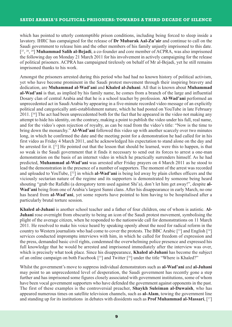which has pointed to utterly contemptible prison conditions, including being forced to sleep inside a lavatory. IHRC has campaigned for the release of **Dr Mubarak Aal-Zu'air** and continue to call on the Saudi government to release him and the other members of his family unjustly imprisoned to this date. [27 , <sup>28</sup> , <sup>29</sup> ] **Muhammad Salih al-Bejadi**, a co-founder and core member of ACPRA, was also imprisoned the following day on Monday 21 March 2011 for his involvement in actively campaigning for the release of political prisoners. ACPRA has campaigned tirelessly on behalf of Mr al-Bejadi, yet he still remains imprisoned thanks to his work.

Amongst the prisoners arrested during this period who had had no known history of political activism, yet who have become prominent in the Saudi protest movement through their inspiring bravery and dedication, are **Muhammad al-Wad'ani** and **Khaled al-Juhani**. All that is known about **Muhammad al-Wad'ani** is that, as implied by his family name, he comes from a branch of the large and influential Dosary clan of central Arabia and that he is a school teacher by profession. **Al-Wad'ani** performed an unprecedented act in Saudi Arabia by appearing in a five-minute recorded video message of an explicitly political and categorically anti-establishment nature, which he had posted on YouTube in late February 2011. [30 ] The act had been unprecedented both for the fact that he appeared in the video not making any attempt to hide his identity, on the contrary, making a point to publish the video under his full, real name, and for the video's open rejection of royalty, as can be read from the video's title: "Now is the time to bring down the monarchy." **Al-Wad'ani** followed this video up with another scarcely over two minutes long, in which he confirmed the date and the meeting point for a demonstration he had called for in his first video as Friday 4 March 2011, and he acknowledged his expectation to stand alone on the day and be arrested for it. [31 ] He pointed out that the lesson that should be learned, were this to happen, is that so weak is the Saudi government that it finds it necessary to send out its forces to arrest a one-man demonstration on the basis of an internet video in which he practically surrenders himself. As he had predicted, **Muhammad al-Wad'ani** was arrested after Friday prayers on 4 March 2011 as he stood to lead the demonstration in the presence of a number of supporters. The moment of the arrest was recorded and uploaded to YouTube, [32 ] in which **al-Wad'ani** is being led away by plain clothes officers and the viciously sectarian nature of the regime and its supporters is demonstrated by someone being heard shouting "grab the Rafidhi (a derogatory term used against Shi'a), don't let him get away!", despite **al-Wad'ani** being from one of Arabia's largest Sunni clans. After his disappearance in early March, no one has heard from **al-Wad'ani**, yet some reports have pointed to him having to be hospitalised after a particularly brutal torture session.

**Khaled al-Juhani** is another school teacher and a father of four children, one of whom is autistic. **Al-Juhani** rose overnight from obscurity to being an icon of the Saudi protest movement, symbolising the plight of the average citizen, when he responded to the nationwide call for demonstrations on 11 March 2011. He resolved to make his voice heard by speaking openly about the need for radical reform in the country to Western journalists who had come to cover the protests. The BBC Arabic [33] and English [34] services conducted impromptu interviews with him, in which he called for freedom of expression and the press, demanded basic civil rights, condemned the overwhelming police presence and expressed his full knowledge that he would be arrested and imprisoned immediately after the interview was over, which is precisely what took place. Since his disappearance, **Khaled al-Juhani** has become the subject of an online campaign on both Facebook [35] and Twitter [36] under the title "Where is Khaled?"

Whilst the government's move to suppress individual demonstrators such as **al-Wad'ani** and **al-Juhani** may point to an unprecedented level of desperation, the Saudi government has recently gone a step further and has imprisoned some figures closely associated with government institutions, some of whom have been vocal government supporters who have defended the government against opponents in the past. The first of these examples is the controversial preacher, **Shaykh Suleiman al-Duwaish**, who has appeared numerous times on satellite television channels, such as **al-Alam**, towing the government line and standing up for its institutions in debates with dissidents such as **Prof Muhammad al-Massari**, [37 ]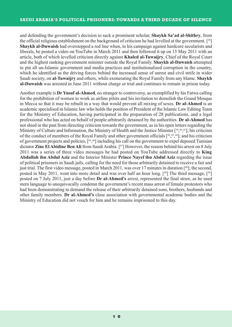and defending the government's decision to sack a prominent scholar, **Shaykh Sa'ad al-Shithry**, from the official religious establishment on the background of criticism he had levelled at the government. [38 ] **Shaykh al-Duwaish** had overstepped a red line when, in his campaign against hardcore secularists and liberals, he posted a video on YouTube in March 2011 and then followed it up on 15 May 2011 with an article, both of which levelled criticism directly against **Khaled al-Tuwaijry**, Chief of the Royal Court and the highest ranking government minister outside the Royal Family. **Shaykh al-Duwaish** attempted to pin all un-Islamic government and media practices and institutionalised corruption in the country, which he identified as the driving forces behind the increased sense of unrest and civil strife in wider Saudi society, on **al-Tuwaijry** and others, while exonerating the Royal Family from any blame. **Shaykh al-Duwaish** was arrested in June 2011 without charge or trial and continues to remain in prison today.

Another example is **Dr Yusuf al-Ahmed**, no stranger to controversy, as exemplified by his Fatwa calling for the prohibition of women to work as airline pilots and his invitation to demolish the Grand Mosque in Mecca so that it may be rebuilt in a way that would prevent all mixing of sexes. **Dr al-Ahmed** is an academic specialised in Islamic law who holds the position of President of the Islamic Law Editing Team for the Ministry of Education, having participated in the preparation of 28 publications, and a legal professional who has acted on behalf of people arbitrarily detained by the authorities. **Dr al-Ahmed** has not shied in the past from directing criticism towards the government, as in his open letters regarding the Ministry of Culture and Information, the Ministry of Health and the Justice Minister [39,40,41]; his criticism of the conduct of members of the Royal Family and other government officials  $[42, 43, 44]$ ; and his criticism of government projects and policies, [45,46] including his call on the government to expel deposed Tunisian dictator **Zine El Abidine Ben Ali** from Saudi Arabia. [47 ] However, the reason behind his arrest on 8 July 2011 was a series of three video messages he had posted on YouTube addressed directly to **King Abdullah ibn Abdul Aziz** and the Interior Minister **Prince Nayef ibn Abdul Aziz** regarding the issue of political prisoners in Saudi jails, calling for the need for those arbitrarily detained to receive a fair and just trial. The first video message, posted in March 2011, was over 17 minutes in duration [<sup>48</sup>]; the second, posted in May 2011, went into more detail and was over half an hour long. [49] The third message, [50] posted on 7 July 2011, just a day before **Dr al-Ahmed's** arrest, represented the final straw, as he used stern language to unequivocally condemn the government's recent mass arrest of female protestors who had been demonstrating to demand the release of their arbitrarily detained sons, brothers, husbands and other family members. **Dr al-Ahmed's** close association with governmental academic bodies and the Ministry of Education did not vouch for him and he remains imprisoned to this day.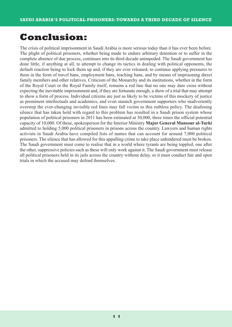### **Conclusion:**

The crisis of political imprisonment in Saudi Arabia is more serious today than it has ever been before. The plight of political prisoners, whether being made to endure arbitrary detention or to suffer in the complete absence of due process, continues into its third decade unimpeded. The Saudi government has done little, if anything at all, to attempt to change its tactics in dealing with political opponents, the default reaction being to lock them up and, if they are ever released, to continue applying pressures to them in the form of travel bans, employment bans, teaching bans, and by means of imprisoning direct family members and other relatives. Criticism of the Monarchy and its institutions, whether in the form of the Royal Court or the Royal Family itself, remains a red line that no one may dare cross without expecting the inevitable imprisonment and, if they are fortunate enough, a show of a trial that may attempt to show a form of process. Individual citizens are just as likely to be victims of this mockery of justice as prominent intellectuals and academics, and even staunch government supporters who inadvertently overstep the ever-changing invisible red lines may fall victim to this ruthless policy. The deafening silence that has taken hold with regard to this problem has resulted in a Saudi prison system whose population of political prisoners in 2011 has been estimated at 30,000, three times the official potential capacity of 10,000. Of these, spokesperson for the Interior Ministry **Major General Mansour al-Turki** admitted to holding 5,000 political prisoners in prisons across the country. Lawyers and human rights activists in Saudi Arabia have compiled lists of names that can account for around 7,000 political prisoners. The silence that has allowed for this appalling crime to take place unhindered must be broken. The Saudi government must come to realise that in a world where tyrants are being toppled, one after the other, suppressive policies such as these will only work against it. The Saudi government must release all political prisoners held in its jails across the country without delay, or it must conduct fair and open trials in which the accused may defend themselves.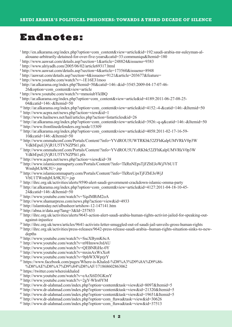#### **Endnotes:**

 http://en.alkarama.org/index.php?option=com\_content&view=article&id=192:saudi-arabia-mr-suleyman-alalouane-arbitrarily-detained-for-over-five-years&catid=33:communiqu&Itemid=180 http://www.aawsat.com/details.asp?section=1&article=248824&issueno=9383 http://www.alriyadh.com/2005/06/02/article69317.html http://www.aawsat.com/details.asp?section=4&article=173560&issueno=8948 http://aawsat.com/details.asp?section=4&issueno=9121&article=203677&feature= http://www.youtube.com/watch?v=-1E16E31moo http://ar.alkarama.org/index.php?Itemid=50&catid=146:-&id=3545:2009-04-17-07-46- 26&option=com\_content&view=article http://www.youtube.com/watch?v=mmoiubYklBQ http://ar.alkarama.org/index.php?option=com\_content&view=article&id=4189:2011-06-27-08-25- 04&catid=146:-&Itemid=50 <sup>10</sup> http://ar.alkarama.org/index.php?option=com\_content&view=article&id=4152:-4-&catid=146:-&Itemid=50  $11 \text{ http://www.acpra.net/news.php?action=view\&id=1$  http://www.hailnews.net/hail/articles.php?action=listarticles&id=26 http://ar.alkarama.org/index.php?option=com\_content&view=article&id=3926:-q-q&catid=146:-&Itemid=50 http://www.frontlinedefenders.org/node/15309 http://ar.alkarama.org/index.php?option=com\_content&view=article&id=4058:2011-02-17-16-59- 10&catid=146:-&Itemid=50 http://www.ommahconf.com/Portals/Content/?info=YVdROU5UWTRKbk52ZFhKalpUMVRkV0p3W VdkbEpuUjVjR1U5TVNZPSt1.plx http://www.ommahconf.com/Portals/Content/?info=YVdROU5UYzRKbk52ZFhKalpUMVRkV0p3W VdkbEpuUjVjR1U5TVNZPSt1.plx http://www.acpra.net/news.php?action=view&id=38 http://www.islamicommaparty.com/Portals/Content/?info=TkRnNEpsTjFZbEJoWjJVbU1T WmhjbUk9K3U=.jsp http://www.islamicommaparty.com/Portals/Content/?info=TkRreUpsTjFZbEJoWjJ VbU1TWmhjbUk9K3U=.jsp http://ihrc.org.uk/activities/alerts/9590-alert-saudi-government-crackdown-islamic-omma-party <sup>22</sup> http://ar.alkarama.org/index.php?option=com\_content&view=article&id=4127:2011-04-18-10-45-24&catid=146:-&Itemid=50 http://www.youtube.com/watch?v=YqslMRtM2oA http://www.shamarpress.com/news.php?action=view&id=4933 http://islamtoday.net/albasheer/artshow-12-147141.htm http://abna.ir/data.asp?lang=3&Id=257853 http://ihrc.org.uk/activities/alerts/9643-action-alert-saudi-arabia-human-rights-activist-jailed-for-speaking-outagainst-injustice http://ihrc.org.uk/news/articles/9641-activists-letter-smuggled-out-of-saudi-jail-unveils-gross-human-rights http://ihrc.org.uk/activities/press-releases/9642-press-release-saudi-arabia--human-rights-situation-sinks-to-newdepths http://www.youtube.com/watch?v=SscXBymK6cA http://www.youtube.com/watch?v=n9HmwwJrdAU http://www.youtube.com/watch?v=QEBNRiHe-0Y http://www.youtube.com/watch?v=mxinAxWxXo8 http://www.youtube.com/watch?v=9phWXWprjrY https://www.facebook.com/pages/Where-is-Khaled-%D8%A3%D9%8A%D9%86- %D8%AE%D8%A7%D9%84%D8%AF/171868602863062 https://twitter.com/whereiskhaled

- http://www.youtube.com/watch?v=eAzX6D3GKmY
- http://www.youtube.com/watch?v=2gY-WIrs0YM
- http://www.dr-alahmad.com/index.php?option=content&task=view&id=8097&Itemid=5
- http://www.dr-alahmad.com/index.php?option=content&task=view&id=21320&Itemid=5
- http://www.dr-alahmad.com/index.php?option=content&task=view&id=19651&Itemid=5
- http://www.dr-alahmad.com/index.php?option=com\_ftawa&task=view&id=30626
- http://www.dr-alahmad.com/index.php?option=com\_ftawa&task=view&id=37513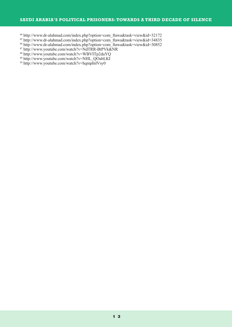#### **SAUDI ARABIA'S POLITICAL PRISONERS: TOWARDS A THIRD DECADE OF SILENCE**

- http://www.dr-alahmad.com/index.php?option=com\_ftawa&task=view&id=32172
- http://www.dr-alahmad.com/index.php?option=com\_ftawa&task=view&id=34835
- http://www.dr-alahmad.com/index.php?option=com\_ftawa&task=view&id=30852
- http://www.youtube.com/watch?v=NdTRR-BtPVk&NR
- http://www.youtube.com/watch?v=WBVITp2duYQ
- <sup>49</sup> http://www.youtube.com/watch?v=NHL\_QOabLKI
- $^{50}$  http://www.youtube.com/watch?v=hqmpInlVsy0